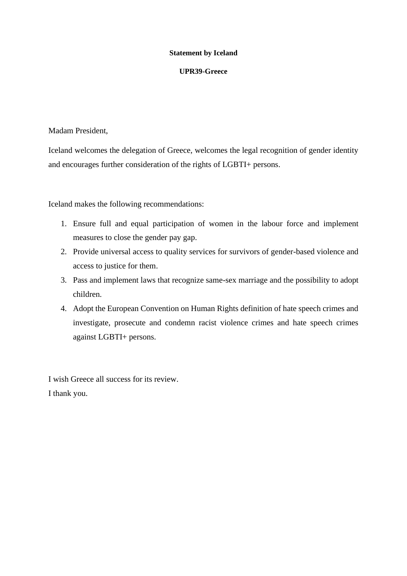### **UPR39-Greece**

Madam President,

Iceland welcomes the delegation of Greece, welcomes the legal recognition of gender identity and encourages further consideration of the rights of LGBTI+ persons.

Iceland makes the following recommendations:

- 1. Ensure full and equal participation of women in the labour force and implement measures to close the gender pay gap.
- 2. Provide universal access to quality services for survivors of gender-based violence and access to justice for them.
- 3. Pass and implement laws that recognize same-sex marriage and the possibility to adopt children.
- 4. Adopt the European Convention on Human Rights definition of hate speech crimes and investigate, prosecute and condemn racist violence crimes and hate speech crimes against LGBTI+ persons.

I wish Greece all success for its review. I thank you.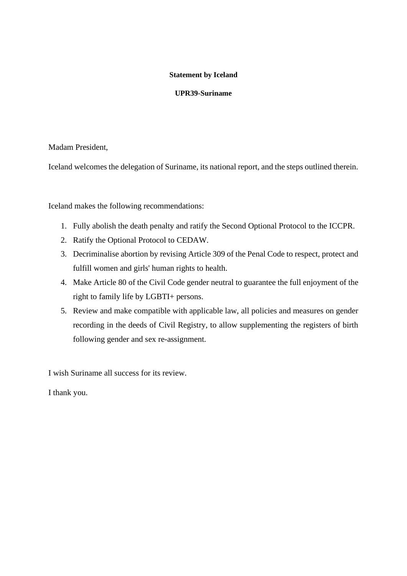# **UPR39-Suriname**

# Madam President,

Iceland welcomes the delegation of Suriname, its national report, and the steps outlined therein.

Iceland makes the following recommendations:

- 1. Fully abolish the death penalty and ratify the Second Optional Protocol to the ICCPR.
- 2. Ratify the Optional Protocol to CEDAW.
- 3. Decriminalise abortion by revising Article 309 of the Penal Code to respect, protect and fulfill women and girls' human rights to health.
- 4. Make Article 80 of the Civil Code gender neutral to guarantee the full enjoyment of the right to family life by LGBTI+ persons.
- 5. Review and make compatible with applicable law, all policies and measures on gender recording in the deeds of Civil Registry, to allow supplementing the registers of birth following gender and sex re-assignment.

I wish Suriname all success for its review.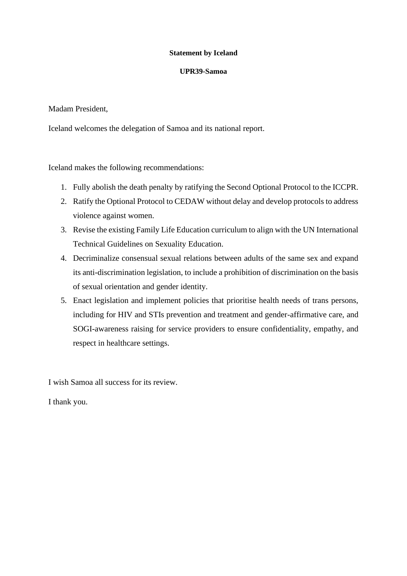#### **UPR39-Samoa**

Madam President,

Iceland welcomes the delegation of Samoa and its national report.

Iceland makes the following recommendations:

- 1. Fully abolish the death penalty by ratifying the Second Optional Protocol to the ICCPR.
- 2. Ratify the Optional Protocol to CEDAW without delay and develop protocols to address violence against women.
- 3. Revise the existing Family Life Education curriculum to align with the UN International Technical Guidelines on Sexuality Education.
- 4. Decriminalize consensual sexual relations between adults of the same sex and expand its anti-discrimination legislation, to include a prohibition of discrimination on the basis of sexual orientation and gender identity.
- 5. Enact legislation and implement policies that prioritise health needs of trans persons, including for HIV and STIs prevention and treatment and gender-affirmative care, and SOGI-awareness raising for service providers to ensure confidentiality, empathy, and respect in healthcare settings.

I wish Samoa all success for its review.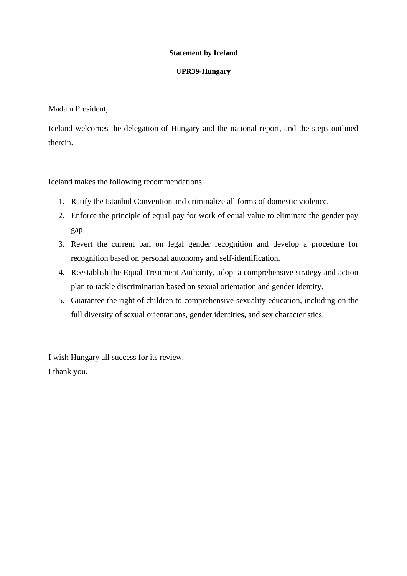#### **UPR39-Hungary**

Madam President,

Iceland welcomes the delegation of Hungary and the national report, and the steps outlined therein.

Iceland makes the following recommendations:

- 1. Ratify the Istanbul Convention and criminalize all forms of domestic violence.
- 2. Enforce the principle of equal pay for work of equal value to eliminate the gender pay gap.
- 3. Revert the current ban on legal gender recognition and develop a procedure for recognition based on personal autonomy and self-identification.
- 4. Reestablish the Equal Treatment Authority, adopt a comprehensive strategy and action plan to tackle discrimination based on sexual orientation and gender identity.
- 5. Guarantee the right of children to comprehensive sexuality education, including on the full diversity of sexual orientations, gender identities, and sex characteristics.

I wish Hungary all success for its review. I thank you.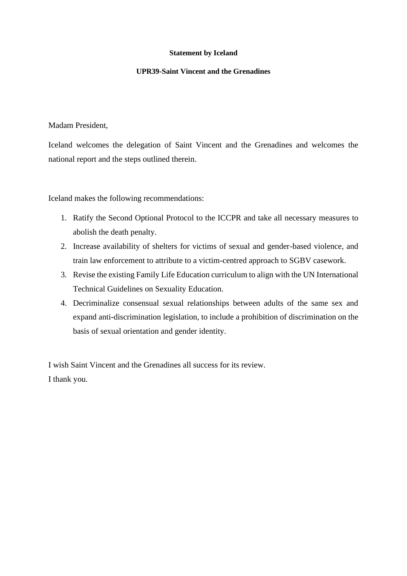### **UPR39-Saint Vincent and the Grenadines**

Madam President,

Iceland welcomes the delegation of Saint Vincent and the Grenadines and welcomes the national report and the steps outlined therein.

Iceland makes the following recommendations:

- 1. Ratify the Second Optional Protocol to the ICCPR and take all necessary measures to abolish the death penalty.
- 2. Increase availability of shelters for victims of sexual and gender-based violence, and train law enforcement to attribute to a victim-centred approach to SGBV casework.
- 3. Revise the existing Family Life Education curriculum to align with the UN International Technical Guidelines on Sexuality Education.
- 4. Decriminalize consensual sexual relationships between adults of the same sex and expand anti-discrimination legislation, to include a prohibition of discrimination on the basis of sexual orientation and gender identity.

I wish Saint Vincent and the Grenadines all success for its review. I thank you.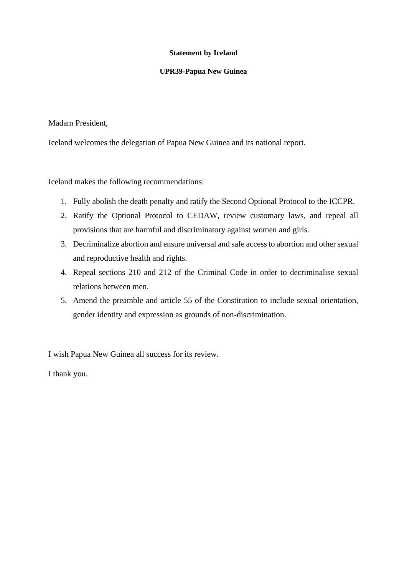#### **UPR39-Papua New Guinea**

Madam President,

Iceland welcomes the delegation of Papua New Guinea and its national report.

Iceland makes the following recommendations:

- 1. Fully abolish the death penalty and ratify the Second Optional Protocol to the ICCPR.
- 2. Ratify the Optional Protocol to CEDAW, review customary laws, and repeal all provisions that are harmful and discriminatory against women and girls.
- 3. Decriminalize abortion and ensure universal and safe access to abortion and other sexual and reproductive health and rights.
- 4. Repeal sections 210 and 212 of the Criminal Code in order to decriminalise sexual relations between men.
- 5. Amend the preamble and article 55 of the Constitution to include sexual orientation, gender identity and expression as grounds of non-discrimination.

I wish Papua New Guinea all success for its review.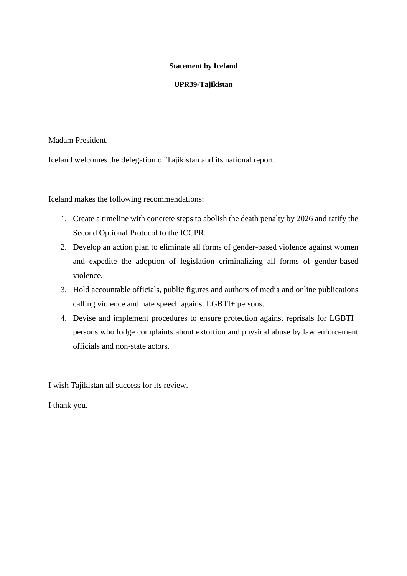### **UPR39-Tajikistan**

Madam President,

Iceland welcomes the delegation of Tajikistan and its national report.

Iceland makes the following recommendations:

- 1. Create a timeline with concrete steps to abolish the death penalty by 2026 and ratify the Second Optional Protocol to the ICCPR.
- 2. Develop an action plan to eliminate all forms of gender-based violence against women and expedite the adoption of legislation criminalizing all forms of gender-based violence.
- 3. Hold accountable officials, public figures and authors of media and online publications calling violence and hate speech against LGBTI+ persons.
- 4. Devise and implement procedures to ensure protection against reprisals for LGBTI+ persons who lodge complaints about extortion and physical abuse by law enforcement officials and non-state actors.

I wish Tajikistan all success for its review.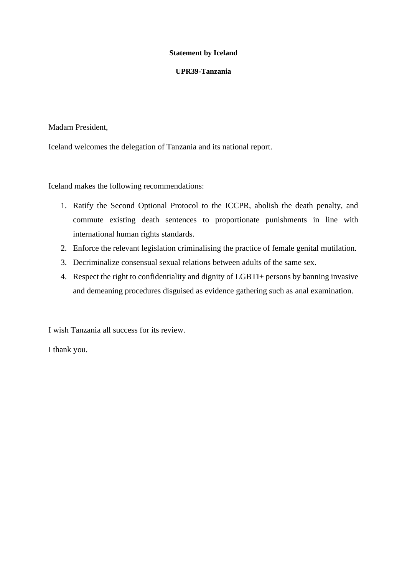### **UPR39-Tanzania**

Madam President,

Iceland welcomes the delegation of Tanzania and its national report.

Iceland makes the following recommendations:

- 1. Ratify the Second Optional Protocol to the ICCPR, abolish the death penalty, and commute existing death sentences to proportionate punishments in line with international human rights standards.
- 2. Enforce the relevant legislation criminalising the practice of female genital mutilation.
- 3. Decriminalize consensual sexual relations between adults of the same sex.
- 4. Respect the right to confidentiality and dignity of LGBTI+ persons by banning invasive and demeaning procedures disguised as evidence gathering such as anal examination.

I wish Tanzania all success for its review.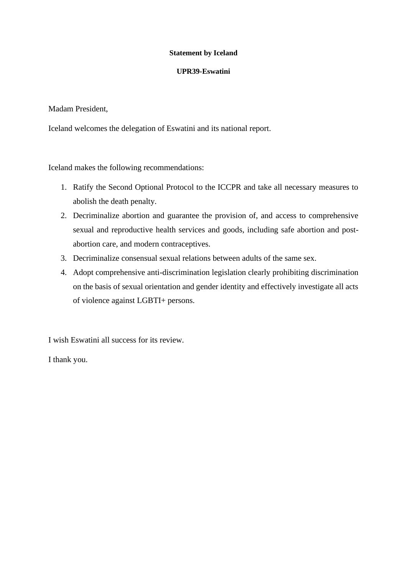### **UPR39-Eswatini**

Madam President,

Iceland welcomes the delegation of Eswatini and its national report.

Iceland makes the following recommendations:

- 1. Ratify the Second Optional Protocol to the ICCPR and take all necessary measures to abolish the death penalty.
- 2. Decriminalize abortion and guarantee the provision of, and access to comprehensive sexual and reproductive health services and goods, including safe abortion and postabortion care, and modern contraceptives.
- 3. Decriminalize consensual sexual relations between adults of the same sex.
- 4. Adopt comprehensive anti-discrimination legislation clearly prohibiting discrimination on the basis of sexual orientation and gender identity and effectively investigate all acts of violence against LGBTI+ persons.

I wish Eswatini all success for its review.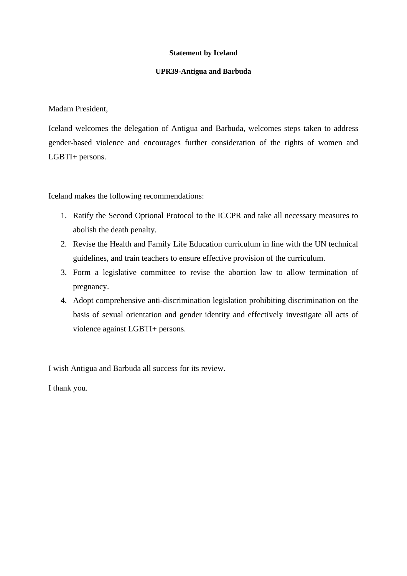#### **UPR39-Antigua and Barbuda**

Madam President,

Iceland welcomes the delegation of Antigua and Barbuda, welcomes steps taken to address gender-based violence and encourages further consideration of the rights of women and LGBTI+ persons.

Iceland makes the following recommendations:

- 1. Ratify the Second Optional Protocol to the ICCPR and take all necessary measures to abolish the death penalty.
- 2. Revise the Health and Family Life Education curriculum in line with the UN technical guidelines, and train teachers to ensure effective provision of the curriculum.
- 3. Form a legislative committee to revise the abortion law to allow termination of pregnancy.
- 4. Adopt comprehensive anti-discrimination legislation prohibiting discrimination on the basis of sexual orientation and gender identity and effectively investigate all acts of violence against LGBTI+ persons.

I wish Antigua and Barbuda all success for its review.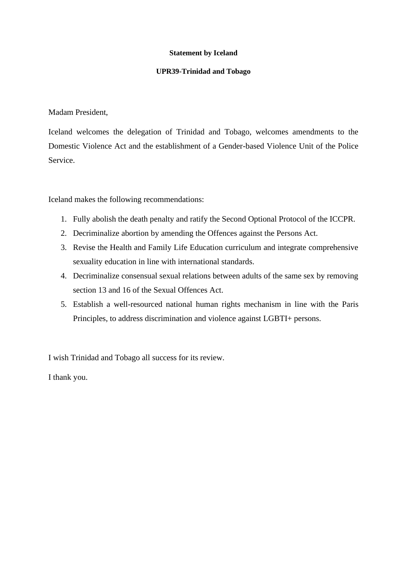### **UPR39-Trinidad and Tobago**

Madam President,

Iceland welcomes the delegation of Trinidad and Tobago, welcomes amendments to the Domestic Violence Act and the establishment of a Gender-based Violence Unit of the Police Service.

Iceland makes the following recommendations:

- 1. Fully abolish the death penalty and ratify the Second Optional Protocol of the ICCPR.
- 2. Decriminalize abortion by amending the Offences against the Persons Act.
- 3. Revise the Health and Family Life Education curriculum and integrate comprehensive sexuality education in line with international standards.
- 4. Decriminalize consensual sexual relations between adults of the same sex by removing section 13 and 16 of the Sexual Offences Act.
- 5. Establish a well-resourced national human rights mechanism in line with the Paris Principles, to address discrimination and violence against LGBTI+ persons.

I wish Trinidad and Tobago all success for its review.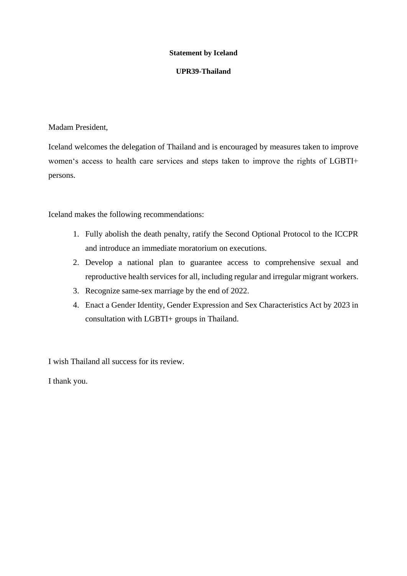### **UPR39-Thailand**

Madam President,

Iceland welcomes the delegation of Thailand and is encouraged by measures taken to improve women's access to health care services and steps taken to improve the rights of LGBTI+ persons.

Iceland makes the following recommendations:

- 1. Fully abolish the death penalty, ratify the Second Optional Protocol to the ICCPR and introduce an immediate moratorium on executions.
- 2. Develop a national plan to guarantee access to comprehensive sexual and reproductive health services for all, including regular and irregular migrant workers.
- 3. Recognize same-sex marriage by the end of 2022.
- 4. Enact a Gender Identity, Gender Expression and Sex Characteristics Act by 2023 in consultation with LGBTI+ groups in Thailand.

I wish Thailand all success for its review.